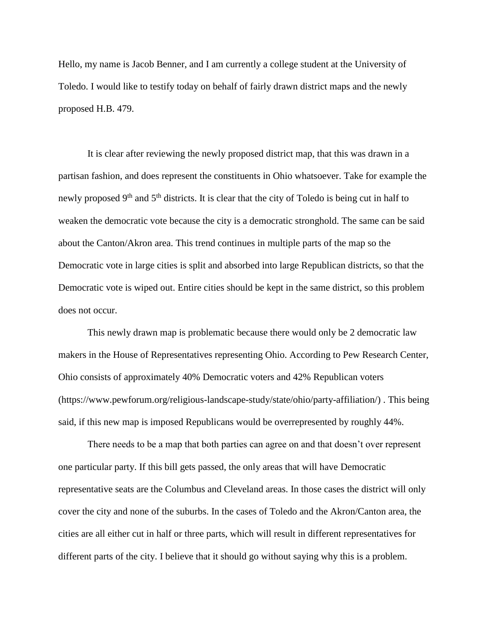Hello, my name is Jacob Benner, and I am currently a college student at the University of Toledo. I would like to testify today on behalf of fairly drawn district maps and the newly proposed H.B. 479.

It is clear after reviewing the newly proposed district map, that this was drawn in a partisan fashion, and does represent the constituents in Ohio whatsoever. Take for example the newly proposed 9<sup>th</sup> and 5<sup>th</sup> districts. It is clear that the city of Toledo is being cut in half to weaken the democratic vote because the city is a democratic stronghold. The same can be said about the Canton/Akron area. This trend continues in multiple parts of the map so the Democratic vote in large cities is split and absorbed into large Republican districts, so that the Democratic vote is wiped out. Entire cities should be kept in the same district, so this problem does not occur.

This newly drawn map is problematic because there would only be 2 democratic law makers in the House of Representatives representing Ohio. According to Pew Research Center, Ohio consists of approximately 40% Democratic voters and 42% Republican voters (https://www.pewforum.org/religious-landscape-study/state/ohio/party-affiliation/) . This being said, if this new map is imposed Republicans would be overrepresented by roughly 44%.

There needs to be a map that both parties can agree on and that doesn't over represent one particular party. If this bill gets passed, the only areas that will have Democratic representative seats are the Columbus and Cleveland areas. In those cases the district will only cover the city and none of the suburbs. In the cases of Toledo and the Akron/Canton area, the cities are all either cut in half or three parts, which will result in different representatives for different parts of the city. I believe that it should go without saying why this is a problem.